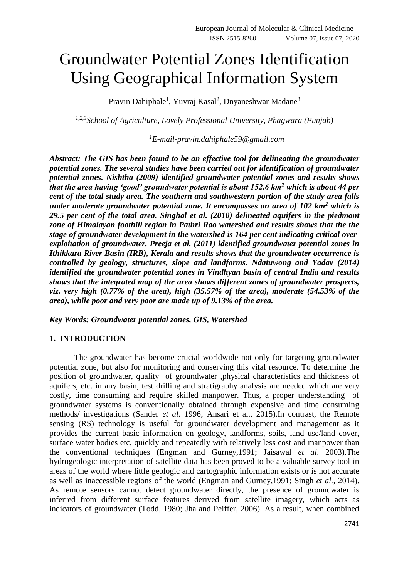# Groundwater Potential Zones Identification Using Geographical Information System

Pravin Dahiphale<sup>1</sup>, Yuvraj Kasal<sup>2</sup>, Dnyaneshwar Madane<sup>3</sup>

*1,2,3School of Agriculture, Lovely Professional University, Phagwara (Punjab)*

# *<sup>1</sup>E-mail-pravin.dahiphale59@gmail.com*

*Abstract: The GIS has been found to be an effective tool for delineating the groundwater potential zones. The several studies have been carried out for identification of groundwater potential zones. Nishtha (2009) identified groundwater potential zones and results shows that the area having 'good' groundwater potential is about 152.6 km<sup>2</sup> which is about 44 per cent of the total study area. The southern and southwestern portion of the study area falls under moderate groundwater potential zone. It encompasses an area of 102 km<sup>2</sup> which is 29.5 per cent of the total area. Singhal et al. (2010) delineated aquifers in the piedmont zone of Himalayan foothill region in Pathri Rao watershed and results shows that the the stage of groundwater development in the watershed is 164 per cent indicating critical overexploitation of groundwater. Preeja et al. (2011) identified groundwater potential zones in Ithikkara River Basin (IRB), Kerala and results shows that the groundwater occurrence is controlled by geology, structures, slope and landforms. Ndatuwong and Yadav (2014) identified the groundwater potential zones in Vindhyan basin of central India and results shows that the integrated map of the area shows different zones of groundwater prospects, viz. very high (0.77% of the area), high (35.57% of the area), moderate (54.53% of the area), while poor and very poor are made up of 9.13% of the area.*

*Key Words: Groundwater potential zones, GIS, Watershed*

## **1. INTRODUCTION**

The groundwater has become crucial worldwide not only for targeting groundwater potential zone, but also for monitoring and conserving this vital resource. To determine the position of groundwater, quality of groundwater ,physical characteristics and thickness of aquifers, etc. in any basin, test drilling and stratigraphy analysis are needed which are very costly, time consuming and require skilled manpower. Thus, a proper understanding of groundwater systems is conventionally obtained through expensive and time consuming methods/ investigations (Sander *et al.* 1996; Ansari et al., 2015).In contrast, the Remote sensing (RS) technology is useful for groundwater development and management as it provides the current basic information on geology, landforms, soils, land use/land cover, surface water bodies etc, quickly and repeatedly with relatively less cost and manpower than the conventional techniques (Engman and Gurney,1991; Jaisawal *et al*. 2003).The hydrogeologic interpretation of satellite data has been proved to be a valuable survey tool in areas of the world where little geologic and cartographic information exists or is not accurate as well as inaccessible regions of the world (Engman and Gurney,1991; Singh *et al.,* 2014). As remote sensors cannot detect groundwater directly, the presence of groundwater is inferred from different surface features derived from satellite imagery, which acts as indicators of groundwater (Todd, 1980; Jha and Peiffer, 2006). As a result, when combined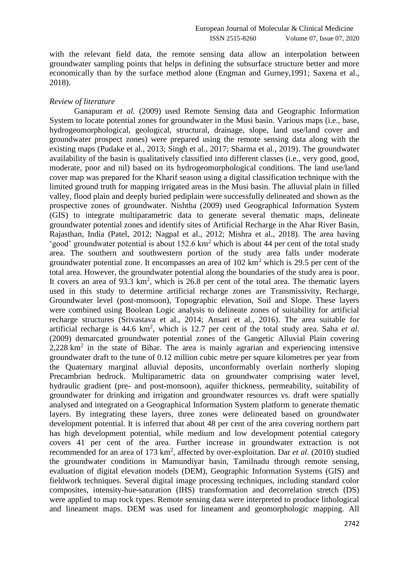with the relevant field data, the remote sensing data allow an interpolation between groundwater sampling points that helps in defining the subsurface structure better and more economically than by the surface method alone (Engman and Gurney,1991; Saxena et al., 2018).

### *Review of literature*

Ganapuram *et al.* (2009) used Remote Sensing data and Geographic Information System to locate potential zones for groundwater in the Musi basin. Various maps (i.e., base, hydrogeomorphological, geological, structural, drainage, slope, land use/land cover and groundwater prospect zones) were prepared using the remote sensing data along with the existing maps (Pudake et al., 2013; Singh et al., 2017; Sharma et al., 2019). The groundwater availability of the basin is qualitatively classified into different classes (i.e., very good, good, moderate, poor and nil) based on its hydrogeomorphological conditions. The land use/land cover map was prepared for the Kharif season using a digital classification technique with the limited ground truth for mapping irrigated areas in the Musi basin. The alluvial plain in filled valley, flood plain and deeply buried pediplain were successfully delineated and shown as the prospective zones of groundwater. Nishtha (2009) used Geographical Information System (GIS) to integrate multiparametric data to generate several thematic maps, delineate groundwater potential zones and identify sites of Artificial Recharge in the Ahar River Basin, Rajasthan, India (Patel, 2012; Nagpal et al., 2012; Mishra et al., 2018). The area having 'good' groundwater potential is about  $152.6 \text{ km}^2$  which is about 44 per cent of the total study area. The southern and southwestern portion of the study area falls under moderate groundwater potential zone. It encompasses an area of  $102 \text{ km}^2$  which is 29.5 per cent of the total area. However, the groundwater potential along the boundaries of the study area is poor. It covers an area of 93.3  $km^2$ , which is 26.8 per cent of the total area. The thematic layers used in this study to determine artificial recharge zones are Transmissivity, Recharge, Groundwater level (post-monsoon), Topographic elevation, Soil and Slope. These layers were combined using Boolean Logic analysis to delineate zones of suitability for artificial recharge structures (Srivastava et al., 2014; Ansari et al., 2016). The area suitable for artificial recharge is 44.6 km<sup>2</sup>, which is 12.7 per cent of the total study area. Saha *et al.* (2009) demarcated groundwater potential zones of the Gangetic Alluvial Plain covering  $2,228$  km<sup>2</sup> in the state of Bihar. The area is mainly agrarian and experiencing intensive groundwater draft to the tune of 0.12 million cubic metre per square kilometres per year from the Quaternary marginal alluvial deposits, unconformably overlain northerly sloping Precambrian bedrock. Multiparametric data on groundwater comprising water level, hydraulic gradient (pre- and post-monsoon), aquifer thickness, permeability, suitability of groundwater for drinking and irrigation and groundwater resources vs. draft were spatially analysed and integrated on a Geographical Information System platform to generate thematic layers. By integrating these layers, three zones were delineated based on groundwater development potential. It is inferred that about 48 per cent of the area covering northern part has high development potential, while medium and low development potential category covers 41 per cent of the area. Further increase in groundwater extraction is not recommended for an area of 173 km<sup>2</sup>, affected by over-exploitation. Dar *et al.* (2010) studied the groundwater conditions in Mamundiyar basin, Tamilnadu through remote sensing, evaluation of digital elevation models (DEM), Geographic Information Systems (GIS) and fieldwork techniques. Several digital image processing techniques, including standard color composites, intensity-hue-saturation (IHS) transformation and decorrelation stretch (DS) were applied to map rock types. Remote sensing data were interpreted to produce lithological and lineament maps. DEM was used for lineament and geomorphologic mapping. All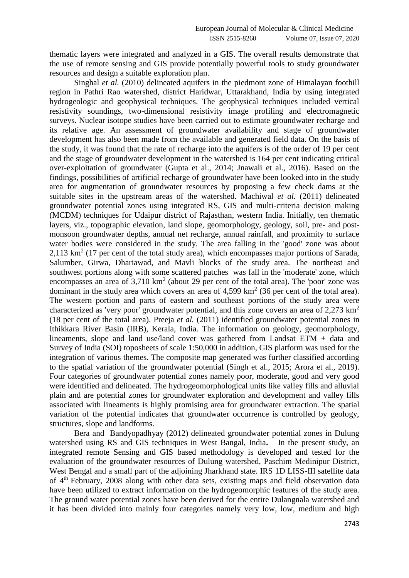thematic layers were integrated and analyzed in a GIS. The overall results demonstrate that the use of remote sensing and GIS provide potentially powerful tools to study groundwater resources and design a suitable exploration plan.

Singhal *et al.* (2010) delineated aquifers in the piedmont zone of Himalayan foothill region in Pathri Rao watershed, district Haridwar, Uttarakhand, India by using integrated hydrogeologic and geophysical techniques. The geophysical techniques included vertical resistivity soundings, two-dimensional resistivity image profiling and electromagnetic surveys. Nuclear isotope studies have been carried out to estimate groundwater recharge and its relative age. An assessment of groundwater availability and stage of groundwater development has also been made from the available and generated field data. On the basis of the study, it was found that the rate of recharge into the aquifers is of the order of 19 per cent and the stage of groundwater development in the watershed is 164 per cent indicating critical over-exploitation of groundwater (Gupta et al., 2014; Jnawali et al., 2016). Based on the findings, possibilities of artificial recharge of groundwater have been looked into in the study area for augmentation of groundwater resources by proposing a few check dams at the suitable sites in the upstream areas of the watershed. Machiwal *et al.* (2011) delineated groundwater potential zones using integrated RS, GIS and multi-criteria decision making (MCDM) techniques for Udaipur district of Rajasthan, western India. Initially, ten thematic layers, viz., topographic elevation, land slope, geomorphology, geology, soil, pre- and postmonsoon groundwater depths, annual net recharge, annual rainfall, and proximity to surface water bodies were considered in the study. The area falling in the 'good' zone was about  $2,113$  km<sup>2</sup> (17 per cent of the total study area), which encompasses major portions of Sarada, Salumber, Girwa, Dhariawad, and Mavli blocks of the study area. The northeast and southwest portions along with some scattered patches was fall in the 'moderate' zone, which encompasses an area of  $3,710 \text{ km}^2$  (about 29 per cent of the total area). The 'poor' zone was dominant in the study area which covers an area of  $4,599 \text{ km}^2$  (36 per cent of the total area). The western portion and parts of eastern and southeast portions of the study area were characterized as 'very poor' groundwater potential, and this zone covers an area of  $2.273 \text{ km}^2$ (18 per cent of the total area). Preeja *et al.* (2011) identified groundwater potential zones in Ithikkara River Basin (IRB), Kerala, India. The information on geology, geomorphology, lineaments, slope and land use/land cover was gathered from Landsat ETM + data and Survey of India (SOI) toposheets of scale 1:50,000 in addition, GIS platform was used for the integration of various themes. The composite map generated was further classified according to the spatial variation of the groundwater potential (Singh et al., 2015; Arora et al., 2019). Four categories of groundwater potential zones namely poor, moderate, good and very good were identified and delineated. The hydrogeomorphological units like valley fills and alluvial plain and are potential zones for groundwater exploration and development and valley fills associated with lineaments is highly promising area for groundwater extraction. The spatial variation of the potential indicates that groundwater occurrence is controlled by geology, structures, slope and landforms.

Bera and Bandyopadhyay (2012) delineated groundwater potential zones in Dulung watershed using RS and GIS techniques in West Bangal, India**.** In the present study, an integrated remote Sensing and GIS based methodology is developed and tested for the evaluation of the groundwater resources of Dulung watershed, Paschim Medinipur District, West Bengal and a small part of the adjoining Jharkhand state. IRS 1D LISS-III satellite data of 4th February, 2008 along with other data sets, existing maps and field observation data have been utilized to extract information on the hydrogeomorphic features of the study area. The ground water potential zones have been derived for the entire Dulangnala watershed and it has been divided into mainly four categories namely very low, low, medium and high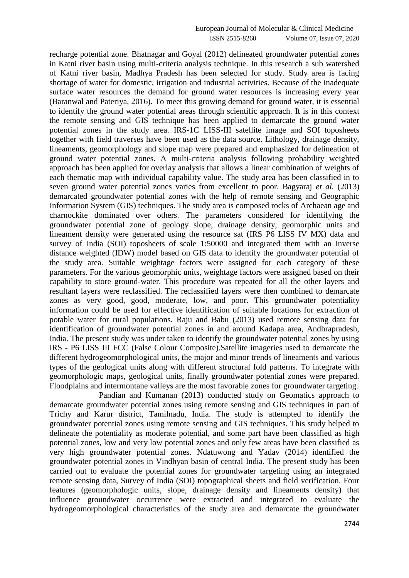recharge potential zone. Bhatnagar and Goyal (2012) delineated groundwater potential zones in Katni river basin using multi-criteria analysis technique. In this research a sub watershed of Katni river basin, Madhya Pradesh has been selected for study. Study area is facing shortage of water for domestic, irrigation and industrial activities. Because of the inadequate surface water resources the demand for ground water resources is increasing every year (Baranwal and Pateriya, 2016). To meet this growing demand for ground water, it is essential to identify the ground water potential areas through scientific approach. It is in this context the remote sensing and GIS technique has been applied to demarcate the ground water potential zones in the study area. IRS-1C LISS-III satellite image and SOI toposheets together with field traverses have been used as the data source. Lithology, drainage density, lineaments, geomorphology and slope map were prepared and emphasized for delineation of ground water potential zones. A multi-criteria analysis following probability weighted approach has been applied for overlay analysis that allows a linear combination of weights of each thematic map with individual capability value. The study area has been classified in to seven ground water potential zones varies from excellent to poor. Bagyaraj *et al.* (2013) demarcated groundwater potential zones with the help of remote sensing and Geographic Information System (GIS) techniques. The study area is composed rocks of Archaean age and charnockite dominated over others. The parameters considered for identifying the groundwater potential zone of geology slope, drainage density, geomorphic units and lineament density were generated using the resource sat (IRS P6 LISS IV MX) data and survey of India (SOI) toposheets of scale 1:50000 and integrated them with an inverse distance weighted (IDW) model based on GIS data to identify the groundwater potential of the study area. Suitable weightage factors were assigned for each category of these parameters. For the various geomorphic units, weightage factors were assigned based on their capability to store ground-water. This procedure was repeated for all the other layers and resultant layers were reclassified. The reclassified layers were then combined to demarcate zones as very good, good, moderate, low, and poor. This groundwater potentiality information could be used for effective identification of suitable locations for extraction of potable water for rural populations. Raju and Babu (2013) used remote sensing data for identification of groundwater potential zones in and around Kadapa area, Andhrapradesh, India. The present study was under taken to identify the groundwater potential zones by using IRS - P6 LISS III FCC (False Colour Composite).Satellite imageries used to demarcate the different hydrogeomorphological units, the major and minor trends of lineaments and various types of the geological units along with different structural fold patterns. To integrate with geomorphologic maps, geological units, finally groundwater potential zones were prepared. Floodplains and intermontane valleys are the most favorable zones for groundwater targeting.

Pandian and Kumanan (2013) conducted study on Geomatics approach to demarcate groundwater potential zones using remote sensing and GIS techniques in part of Trichy and Karur district, Tamilnadu, India. The study is attempted to identify the groundwater potential zones using remote sensing and GIS techniques. This study helped to delineate the potentiality as moderate potential, and some part have been classified as high potential zones, low and very low potential zones and only few areas have been classified as very high groundwater potential zones. Ndatuwong and Yadav (2014) identified the groundwater potential zones in Vindhyan basin of central India. The present study has been carried out to evaluate the potential zones for groundwater targeting using an integrated remote sensing data, Survey of India (SOI) topographical sheets and field verification. Four features (geomorphologic units, slope, drainage density and lineaments density) that influence groundwater occurrence were extracted and integrated to evaluate the hydrogeomorphological characteristics of the study area and demarcate the groundwater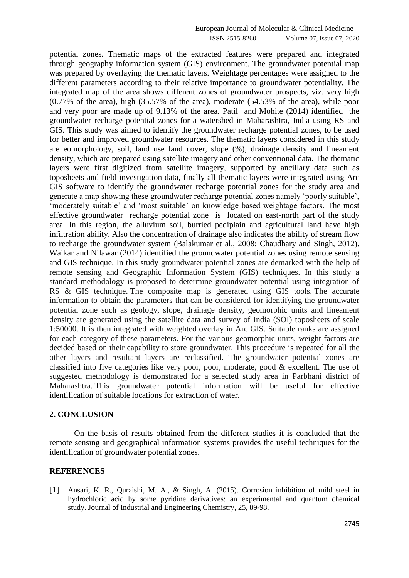potential zones. Thematic maps of the extracted features were prepared and integrated through geography information system (GIS) environment. The groundwater potential map was prepared by overlaying the thematic layers. Weightage percentages were assigned to the different parameters according to their relative importance to groundwater potentiality. The integrated map of the area shows different zones of groundwater prospects, viz. very high (0.77% of the area), high (35.57% of the area), moderate (54.53% of the area), while poor and very poor are made up of 9.13% of the area. Patil and Mohite (2014) identified the groundwater recharge potential zones for a watershed in Maharashtra, India using RS and GIS. This study was aimed to identify the groundwater recharge potential zones, to be used for better and improved groundwater resources. The thematic layers considered in this study are eomorphology, soil, land use land cover, slope (%), drainage density and lineament density, which are prepared using satellite imagery and other conventional data. The thematic layers were first digitized from satellite imagery, supported by ancillary data such as toposheets and field investigation data, finally all thematic layers were integrated using Arc GIS software to identify the groundwater recharge potential zones for the study area and generate a map showing these groundwater recharge potential zones namely 'poorly suitable', 'moderately suitable' and 'most suitable' on knowledge based weightage factors. The most effective groundwater recharge potential zone is located on east-north part of the study area. In this region, the alluvium soil, burried pediplain and agricultural land have high infiltration ability. Also the concentration of drainage also indicates the ability of stream flow to recharge the groundwater system (Balakumar et al., 2008; Chaudhary and Singh, 2012). Waikar and Nilawar (2014) identified the groundwater potential zones using remote sensing and GIS technique. In this study groundwater potential zones are demarked with the help of remote sensing and Geographic Information System (GIS) techniques. In this study a standard methodology is proposed to determine groundwater potential using integration of RS & GIS technique. The composite map is generated using GIS tools. The accurate information to obtain the parameters that can be considered for identifying the groundwater potential zone such as geology, slope, drainage density, geomorphic units and lineament density are generated using the satellite data and survey of India (SOI) toposheets of scale 1:50000. It is then integrated with weighted overlay in Arc GIS. Suitable ranks are assigned for each category of these parameters. For the various geomorphic units, weight factors are decided based on their capability to store groundwater. This procedure is repeated for all the other layers and resultant layers are reclassified. The groundwater potential zones are classified into five categories like very poor, poor, moderate, good & excellent. The use of suggested methodology is demonstrated for a selected study area in Parbhani district of Maharashtra. This groundwater potential information will be useful for effective identification of suitable locations for extraction of water.

#### **2. CONCLUSION**

On the basis of results obtained from the different studies it is concluded that the remote sensing and geographical information systems provides the useful techniques for the identification of groundwater potential zones.

#### **REFERENCES**

[1] Ansari, K. R., Quraishi, M. A., & Singh, A. (2015). Corrosion inhibition of mild steel in hydrochloric acid by some pyridine derivatives: an experimental and quantum chemical study. Journal of Industrial and Engineering Chemistry, 25, 89-98.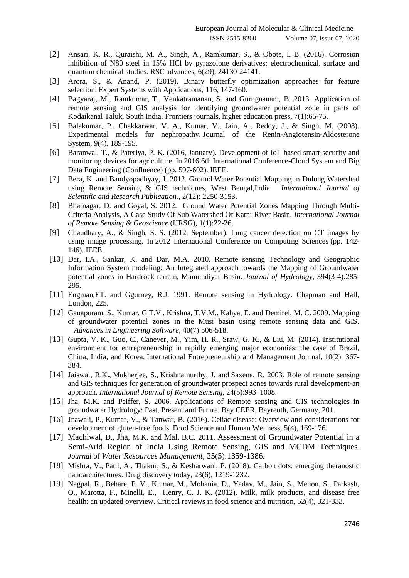- [2] Ansari, K. R., Quraishi, M. A., Singh, A., Ramkumar, S., & Obote, I. B. (2016). Corrosion inhibition of N80 steel in 15% HCl by pyrazolone derivatives: electrochemical, surface and quantum chemical studies. RSC advances, 6(29), 24130-24141.
- [3] Arora, S., & Anand, P. (2019). Binary butterfly optimization approaches for feature selection. Expert Systems with Applications, 116, 147-160.
- [4] Bagyaraj, M., Ramkumar, T., Venkatramanan, S. and Gurugnanam, B. 2013. Application of remote sensing and GIS analysis for identifying groundwater potential zone in parts of Kodaikanal Taluk, South India. Frontiers journals, higher education press, 7(1):65-75.
- [5] Balakumar, P., Chakkarwar, V. A., Kumar, V., Jain, A., Reddy, J., & Singh, M. (2008). Experimental models for nephropathy. Journal of the Renin-Angiotensin-Aldosterone System, 9(4), 189-195.
- [6] Baranwal, T., & Pateriya, P. K. (2016, January). Development of IoT based smart security and monitoring devices for agriculture. In 2016 6th International Conference-Cloud System and Big Data Engineering (Confluence) (pp. 597-602). IEEE.
- [7] Bera, K. and Bandyopadhyay, J. 2012. Ground Water Potential Mapping in Dulung Watershed using Remote Sensing & GIS techniques, West Bengal,India. *International Journal of Scientific and Research Publication.,* 2(12): 2250-3153.
- [8] Bhatnagar, D. and Goyal, S. 2012. Ground Water Potential Zones Mapping Through Multi-Criteria Analysis, A Case Study Of Sub Watershed Of Katni River Basin. *International Journal of Remote Sensing & Geoscience* (IJRSG), 1(1):22-26.
- [9] Chaudhary, A., & Singh, S. S. (2012, September). Lung cancer detection on CT images by using image processing. In 2012 International Conference on Computing Sciences (pp. 142- 146). IEEE.
- [10] Dar, I.A., Sankar, K. and Dar, M.A. 2010. Remote sensing Technology and Geographic Information System modeling: An Integrated approach towards the Mapping of Groundwater potential zones in Hardrock terrain, Mamundiyar Basin. *[Journal of Hydrology](http://www.sciencedirect.com/science/journal/00221694)*, 394(3-4):285- 295.
- [11] Engman,ET. and Ggurney, R.J. 1991. Remote sensing in Hydrology. Chapman and Hall, London, 225.
- [12] Ganapuram, S., Kumar, G.T.V., Krishna, T.V.M., Kahya, E. and Demirel, M. C. 2009. Mapping of groundwater potential zones in the Musi basin using remote sensing data and GIS. *Advances in Engineering Software*, 40(7):506-518.
- [13] Gupta, V. K., Guo, C., Canever, M., Yim, H. R., Sraw, G. K., & Liu, M. (2014). Institutional environment for entrepreneurship in rapidly emerging major economies: the case of Brazil, China, India, and Korea. International Entrepreneurship and Management Journal, 10(2), 367- 384.
- [14] Jaiswal, R.K., Mukherjee, S., Krishnamurthy, J. and Saxena, R. 2003. Role of remote sensing and GIS techniques for generation of groundwater prospect zones towards rural development-an approach. *[International Journal of Remote Sensing](http://www.informaworld.com/smpp/title~db=all~content=t713722504)*, [24\(](http://www.informaworld.com/smpp/title~db=all~content=t713722504~tab=issueslist~branches=24#v24)[5\):9](http://www.informaworld.com/smpp/title~db=all~content=g713862947)93–1008.
- [15] Jha, M.K. and Peiffer, S. 2006. Applications of Remote sensing and GIS technologies in groundwater Hydrology: Past, Present and Future. Bay CEER, Bayreuth, Germany, 201.
- [16] Jnawali, P., Kumar, V., & Tanwar, B. (2016). Celiac disease: Overview and considerations for development of gluten-free foods. Food Science and Human Wellness, 5(4), 169-176.
- [17] [Machiwal](http://www.springerlink.com/content/?Author=Deepesh+Machiwal), D., [Jha](http://www.springerlink.com/content/?Author=Madan+K.+Jha), M.K. and [Mal](http://www.springerlink.com/content/?Author=Bimal+C.+Mal), B.C. 2011. [Assessment of](http://www.springerlink.com/content/vx53w60l12u7016w/) Groundwater Potential in a [Semi-Arid Region of India Using](http://www.springerlink.com/content/vx53w60l12u7016w/) Remote Sensing, GIS and MCDM Techniques. *Journal* of *[Water Resources Management](http://www.springerlink.com/content/0920-4741/)*, [25\(5\)](http://www.springerlink.com/content/0920-4741/25/5/):1359-1386.
- [18] Mishra, V., Patil, A., Thakur, S., & Kesharwani, P. (2018). Carbon dots: emerging theranostic nanoarchitectures. Drug discovery today, 23(6), 1219-1232.
- [19] Nagpal, R., Behare, P. V., Kumar, M., Mohania, D., Yadav, M., Jain, S., Menon, S., Parkash, O., Marotta, F., Minelli, E., Henry, C. J. K. (2012). Milk, milk products, and disease free health: an updated overview. Critical reviews in food science and nutrition, 52(4), 321-333.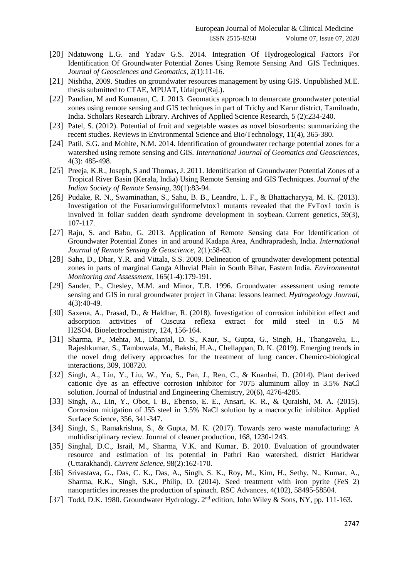- [20] Ndatuwong L.G. and Yadav G.S. 2014. Integration Of Hydrogeological Factors For Identification Of Groundwater Potential Zones Using Remote Sensing And GIS Techniques. *Journal of Geosciences and Geomatics,* 2(1):11-16.
- [21] Nishtha, 2009. Studies on groundwater resources management by using GIS. Unpublished M.E. thesis submitted to CTAE, MPUAT, Udaipur(Raj.).
- [22] Pandian, M and Kumanan, C. J. 2013. Geomatics approach to demarcate groundwater potential zones using remote sensing and GIS techniques in part of Trichy and Karur district, Tamilnadu, India. Scholars Research Library. Archives of Applied Science Research, 5 (2):234-240.
- [23] Patel, S. (2012). Potential of fruit and vegetable wastes as novel biosorbents: summarizing the recent studies. Reviews in Environmental Science and Bio/Technology, 11(4), 365-380.
- [24] Patil, S.G. and Mohite, N.M. 2014. Identification of groundwater recharge potential zones for a watershed using remote sensing and GIS. *International Journal of Geomatics and Geosciences,* 4(3): 485-498.
- [25] Preeja, K.R., Joseph, S and Thomas, J. 2011. Identification of Groundwater Potential Zones of a Tropical River Basin (Kerala, India) Using Remote Sensing and GIS Techniques. *Journal of the Indian Society of Remote Sensing,* 39(1):83-94.
- [26] Pudake, R. N., Swaminathan, S., Sahu, B. B., Leandro, L. F., & Bhattacharyya, M. K. (2013). Investigation of the Fusariumvirguliformefvtox1 mutants revealed that the FvTox1 toxin is involved in foliar sudden death syndrome development in soybean. Current genetics, 59(3), 107-117.
- [27] Raju, S. and Babu, G. 2013. Application of Remote Sensing data For Identification of Groundwater Potential Zones in and around Kadapa Area, Andhrapradesh, India. *International Journal of Remote Sensing & Geoscience*, 2(1):58-63.
- [28] [Saha,](http://www.springerlink.com/content/?Author=Dipankar+Saha) D., [Dhar,](http://www.springerlink.com/content/?Author=Y.+R.+Dhar) Y.R. and [Vittala,](http://www.springerlink.com/content/?Author=S.+S.+Vittala) S.S. 2009. Delineation of groundwater development potential zones in parts of marginal Ganga Alluvial Plain in South Bihar, Eastern India. *[Environmental](http://www.springerlink.com/content/0167-6369/)  [Monitoring and Assessment](http://www.springerlink.com/content/0167-6369/)*[, 165\(1-4\)](http://www.springerlink.com/content/0167-6369/165/1-4/):179-191.
- [29] Sander, P., Chesley, M.M. and Minor, T.B. 1996. Groundwater assessment using remote sensing and GIS in rural groundwater project in Ghana: lessons learned. *Hydrogeology Journal,* 4(3):40-49.
- [30] Saxena, A., Prasad, D., & Haldhar, R. (2018). Investigation of corrosion inhibition effect and adsorption activities of Cuscuta reflexa extract for mild steel in 0.5 M H2SO4. Bioelectrochemistry, 124, 156-164.
- [31] Sharma, P., Mehta, M., Dhanjal, D. S., Kaur, S., Gupta, G., Singh, H., Thangavelu, L., Rajeshkumar, S., Tambuwala, M., Bakshi, H.A., Chellappan, D. K. (2019). Emerging trends in the novel drug delivery approaches for the treatment of lung cancer. Chemico-biological interactions, 309, 108720.
- [32] Singh, A., Lin, Y., Liu, W., Yu, S., Pan, J., Ren, C., & Kuanhai, D. (2014). Plant derived cationic dye as an effective corrosion inhibitor for 7075 aluminum alloy in 3.5% NaCl solution. Journal of Industrial and Engineering Chemistry, 20(6), 4276-4285.
- [33] Singh, A., Lin, Y., Obot, I. B., Ebenso, E. E., Ansari, K. R., & Quraishi, M. A. (2015). Corrosion mitigation of J55 steel in 3.5% NaCl solution by a macrocyclic inhibitor. Applied Surface Science, 356, 341-347.
- [34] Singh, S., Ramakrishna, S., & Gupta, M. K. (2017). Towards zero waste manufacturing: A multidisciplinary review. Journal of cleaner production, 168, 1230-1243.
- [35] Singhal, D.C., Israil, M., Sharma, V.K. and Kumar, B. 2010. Evaluation of groundwater resource and estimation of its potential in Pathri Rao watershed, district Haridwar (Uttarakhand). *Current Science*, 98(2):162-170.
- [36] Srivastava, G., Das, C. K., Das, A., Singh, S. K., Roy, M., Kim, H., Sethy, N., Kumar, A., Sharma, R.K., Singh, S.K., Philip, D. (2014). Seed treatment with iron pyrite (FeS 2) nanoparticles increases the production of spinach. RSC Advances, 4(102), 58495-58504.
- [37] Todd, D.K. 1980. Groundwater Hydrology. 2<sup>nd</sup> edition, John Wiley & Sons, NY, pp. 111-163.